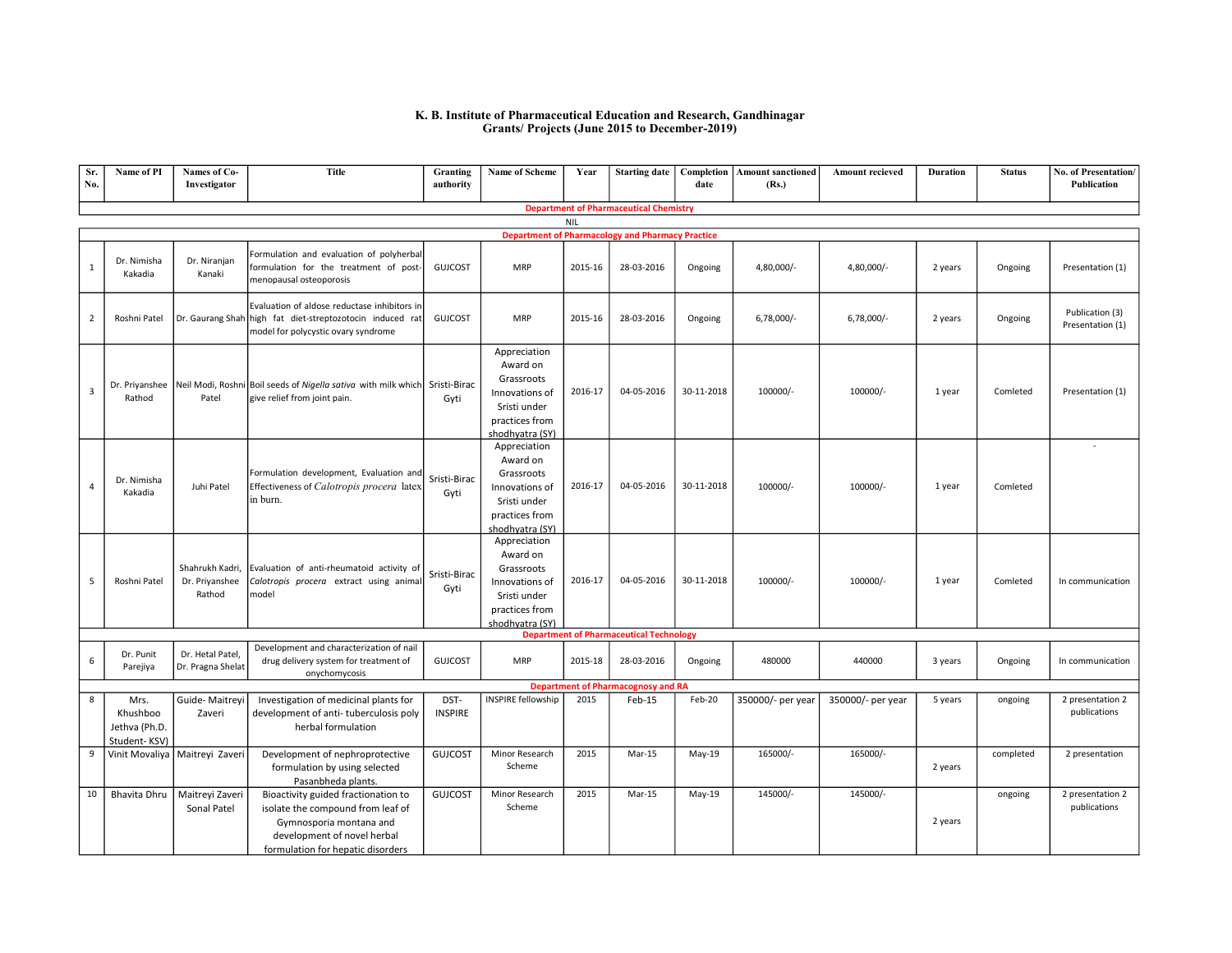## K. B. Institute of Pharmaceutical Education and Research, Gandhinagar Grants/ Projects (June 2015 to December-2019)

| Sr.<br>No.     | Name of PI                                              | Names of Co-<br>Investigator                | <b>Title</b>                                                                                                                                                            | Granting<br>authority  | Name of Scheme                                                                                                | Year    |                                                | date       | Starting date   Completion   Amount sanctioned<br>(Rs.) | <b>Amount recieved</b> | <b>Duration</b> | <b>Status</b> | No. of Presentation/<br>Publication |
|----------------|---------------------------------------------------------|---------------------------------------------|-------------------------------------------------------------------------------------------------------------------------------------------------------------------------|------------------------|---------------------------------------------------------------------------------------------------------------|---------|------------------------------------------------|------------|---------------------------------------------------------|------------------------|-----------------|---------------|-------------------------------------|
|                | <b>Department of Pharmaceutical Chemistry</b>           |                                             |                                                                                                                                                                         |                        |                                                                                                               |         |                                                |            |                                                         |                        |                 |               |                                     |
|                | <b>NIL</b>                                              |                                             |                                                                                                                                                                         |                        |                                                                                                               |         |                                                |            |                                                         |                        |                 |               |                                     |
|                | <b>Department of Pharmacology and Pharmacy Practice</b> |                                             |                                                                                                                                                                         |                        |                                                                                                               |         |                                                |            |                                                         |                        |                 |               |                                     |
| 1              | Dr. Nimisha<br>Kakadia                                  | Dr. Niranjan<br>Kanaki                      | Formulation and evaluation of polyherbal<br>formulation for the treatment of post-<br>menopausal osteoporosis                                                           | <b>GUJCOST</b>         | <b>MRP</b>                                                                                                    | 2015-16 | 28-03-2016                                     | Ongoing    | 4,80,000/-                                              | 4,80,000/-             | 2 years         | Ongoing       | Presentation (1)                    |
| $\overline{2}$ | Roshni Patel                                            |                                             | Evaluation of aldose reductase inhibitors in<br>Dr. Gaurang Shah high fat diet-streptozotocin induced rat<br>model for polycystic ovary syndrome                        | <b>GUJCOST</b>         | <b>MRP</b>                                                                                                    | 2015-16 | 28-03-2016                                     | Ongoing    | $6,78,000/-$                                            | $6,78,000/-$           | 2 years         | Ongoing       | Publication (3)<br>Presentation (1) |
| 3              | Rathod                                                  | Patel                                       | Dr. Priyanshee   Neil Modi, Roshni Boil seeds of Nigella sativa with milk which   Sristi-Birac<br>give relief from joint pain.                                          | Gyti                   | Appreciation<br>Award on<br>Grassroots<br>Innovations of<br>Sristi under<br>practices from<br>shodhyatra (SY) | 2016-17 | 04-05-2016                                     | 30-11-2018 | 100000/-                                                | 100000/-               | 1 year          | Comleted      | Presentation (1)                    |
| $\overline{4}$ | Dr. Nimisha<br>Kakadia                                  | Juhi Patel                                  | Formulation development, Evaluation and<br>Effectiveness of Calotropis procera latex<br>in burn.                                                                        | Sristi-Birac<br>Gyti   | Appreciation<br>Award on<br>Grassroots<br>Innovations of<br>Sristi under<br>practices from<br>shodhvatra (SY) | 2016-17 | 04-05-2016                                     | 30-11-2018 | 100000/-                                                | 100000/-               | 1 year          | Comleted      |                                     |
| 5              | Roshni Patel                                            | Shahrukh Kadri,<br>Dr. Priyanshee<br>Rathod | Evaluation of anti-rheumatoid activity of<br>Calotropis procera extract using animal<br>model                                                                           | Sristi-Birac<br>Gyti   | Appreciation<br>Award on<br>Grassroots<br>Innovations of<br>Sristi under<br>practices from<br>shodhyatra (SY) | 2016-17 | 04-05-2016                                     | 30-11-2018 | 100000/-                                                | 100000/-               | 1 year          | Comleted      | In communication                    |
|                |                                                         |                                             |                                                                                                                                                                         |                        |                                                                                                               |         | <b>Department of Pharmaceutical Technology</b> |            |                                                         |                        |                 |               |                                     |
| 6              | Dr. Punit<br>Parejiya                                   | Dr. Hetal Patel,<br>Dr. Pragna Shelat       | Development and characterization of nail<br>drug delivery system for treatment of<br>onychomycosis                                                                      | <b>GUJCOST</b>         | <b>MRP</b>                                                                                                    | 2015-18 | 28-03-2016                                     | Ongoing    | 480000                                                  | 440000                 | 3 years         | Ongoing       | In communication                    |
|                |                                                         |                                             |                                                                                                                                                                         |                        |                                                                                                               |         | <b>Department of Pharmacognosy and RA</b>      |            |                                                         |                        |                 |               |                                     |
| 8              | Mrs.<br>Khushboo<br>Jethva (Ph.D.<br>Student-KSV)       | Guide-Maitreyi<br>Zaveri                    | Investigation of medicinal plants for<br>development of anti-tuberculosis poly<br>herbal formulation                                                                    | DST-<br><b>INSPIRE</b> | <b>INSPIRE fellowship</b>                                                                                     | 2015    | Feb-15                                         | Feb-20     | 350000/- per year                                       | 350000/- per year      | 5 years         | ongoing       | 2 presentation 2<br>publications    |
| 9              |                                                         | Vinit Movaliya   Maitreyi Zaveri            | Development of nephroprotective<br>formulation by using selected<br>Pasanbheda plants.                                                                                  | <b>GUJCOST</b>         | Minor Research<br>Scheme                                                                                      | 2015    | Mar-15                                         | May-19     | 165000/-                                                | 165000/-               | 2 years         | completed     | 2 presentation                      |
| 10             | Bhavita Dhru                                            | Maitreyi Zaveri<br>Sonal Patel              | Bioactivity guided fractionation to<br>isolate the compound from leaf of<br>Gymnosporia montana and<br>development of novel herbal<br>formulation for hepatic disorders | <b>GUJCOST</b>         | Minor Research<br>Scheme                                                                                      | 2015    | Mar-15                                         | May-19     | 145000/-                                                | 145000/-               | 2 years         | ongoing       | 2 presentation 2<br>publications    |